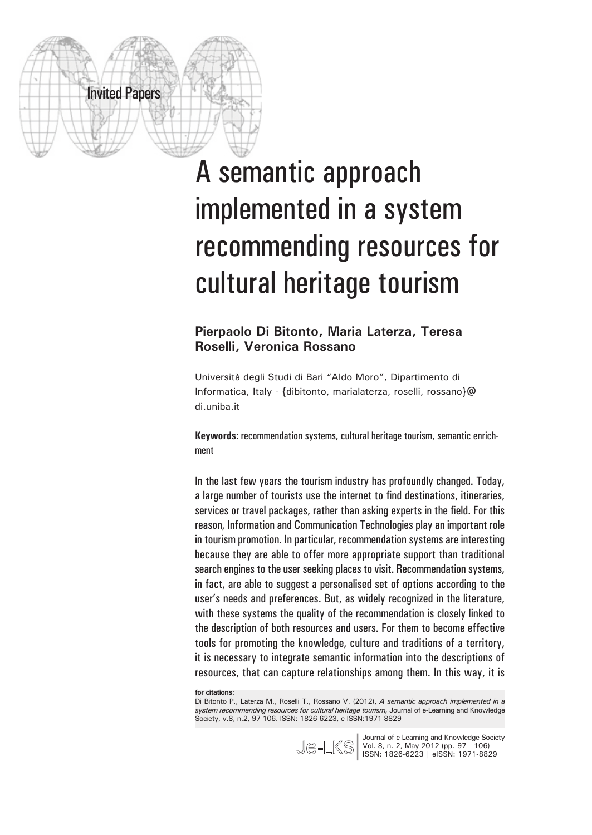

# A semantic approach implemented in a system recommending resources for cultural heritage tourism

#### **Pierpaolo Di Bitonto, Maria Laterza, Teresa Roselli, Veronica Rossano**

Università degli Studi di Bari "Aldo Moro", Dipartimento di Informatica, Italy - {dibitonto, marialaterza, roselli, rossano}@ di.uniba.it

**Keywords**: recommendation systems, cultural heritage tourism, semantic enrichment

In the last few years the tourism industry has profoundly changed. Today, a large number of tourists use the internet to find destinations, itineraries, services or travel packages, rather than asking experts in the field. For this reason, Information and Communication Technologies play an important role in tourism promotion. In particular, recommendation systems are interesting because they are able to offer more appropriate support than traditional search engines to the user seeking places to visit. Recommendation systems, in fact, are able to suggest a personalised set of options according to the user's needs and preferences. But, as widely recognized in the literature, with these systems the quality of the recommendation is closely linked to the description of both resources and users. For them to become effective tools for promoting the knowledge, culture and traditions of a territory, it is necessary to integrate semantic information into the descriptions of resources, that can capture relationships among them. In this way, it is

**for citations:**

Di Bitonto P., Laterza M., Roselli T., Rossano V. (2012), *A semantic approach implemented in a system recommending resources for cultural heritage tourism,* Journal of e-Learning and Knowledge Society, v.8, n.2, 97-106. ISSN: 1826-6223, e-ISSN:1971-8829



Journal of e-Learning and Knowledge Society Vol. 8, n. 2, May 2012 (pp. 97 - 106) Journal of e-Learning and Knowledge Socie<br>
Vol. 8, n. 2, May 2012 (pp. 97 - 106)<br> **ISSN: 1826-6223 | eISSN: 1971-8829**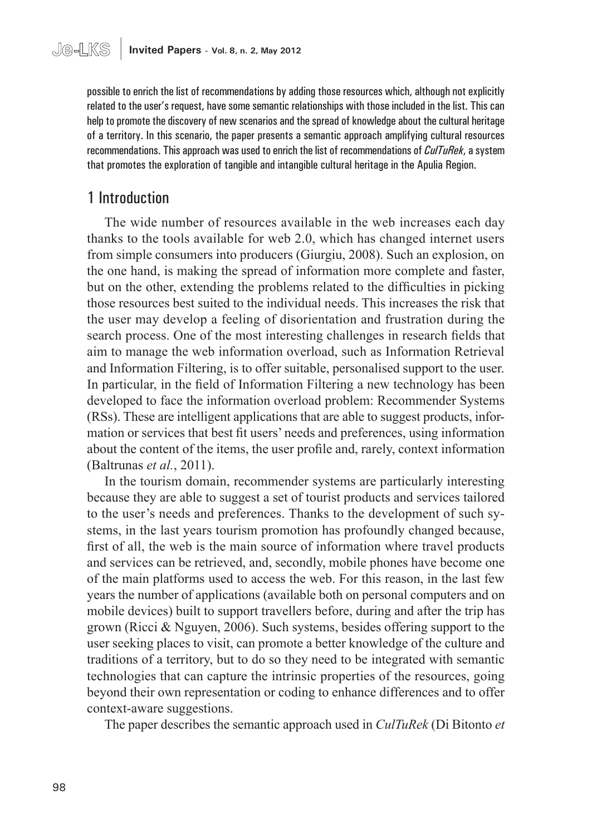possible to enrich the list of recommendations by adding those resources which, although not explicitly related to the user's request, have some semantic relationships with those included in the list. This can help to promote the discovery of new scenarios and the spread of knowledge about the cultural heritage of a territory. In this scenario, the paper presents a semantic approach amplifying cultural resources recommendations. This approach was used to enrich the list of recommendations of *CulTuRek*, a system that promotes the exploration of tangible and intangible cultural heritage in the Apulia Region.

# 1 Introduction

The wide number of resources available in the web increases each day thanks to the tools available for web 2.0, which has changed internet users from simple consumers into producers (Giurgiu, 2008). Such an explosion, on the one hand, is making the spread of information more complete and faster, but on the other, extending the problems related to the difficulties in picking those resources best suited to the individual needs. This increases the risk that the user may develop a feeling of disorientation and frustration during the search process. One of the most interesting challenges in research fields that aim to manage the web information overload, such as Information Retrieval and Information Filtering, is to offer suitable, personalised support to the user. In particular, in the field of Information Filtering a new technology has been developed to face the information overload problem: Recommender Systems (RSs). These are intelligent applications that are able to suggest products, information or services that best fit users' needs and preferences, using information about the content of the items, the user profile and, rarely, context information (Baltrunas *et al.*, 2011).

In the tourism domain, recommender systems are particularly interesting because they are able to suggest a set of tourist products and services tailored to the user's needs and preferences. Thanks to the development of such systems, in the last years tourism promotion has profoundly changed because, first of all, the web is the main source of information where travel products and services can be retrieved, and, secondly, mobile phones have become one of the main platforms used to access the web. For this reason, in the last few years the number of applications (available both on personal computers and on mobile devices) built to support travellers before, during and after the trip has grown (Ricci & Nguyen, 2006). Such systems, besides offering support to the user seeking places to visit, can promote a better knowledge of the culture and traditions of a territory, but to do so they need to be integrated with semantic technologies that can capture the intrinsic properties of the resources, going beyond their own representation or coding to enhance differences and to offer context-aware suggestions.

The paper describes the semantic approach used in *CulTuRek* (Di Bitonto *et*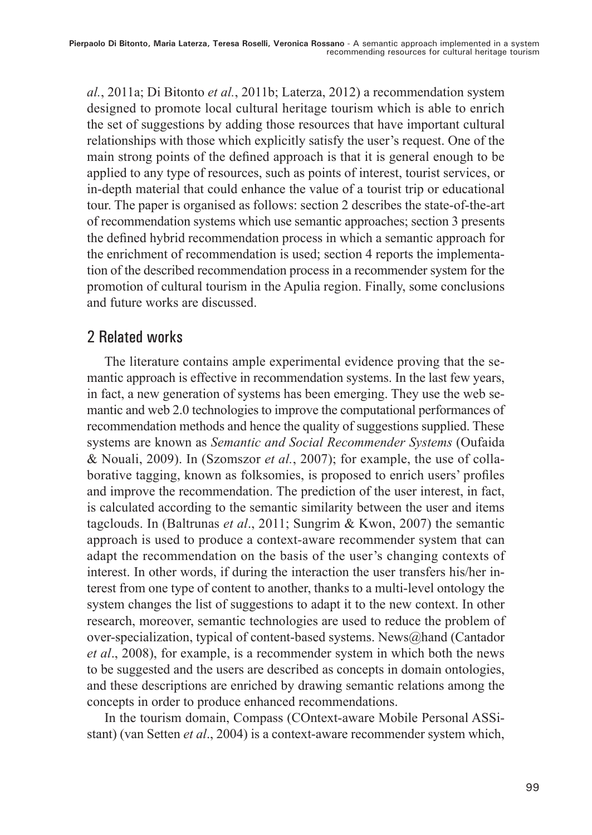*al.*, 2011a; Di Bitonto *et al.*, 2011b; Laterza, 2012) a recommendation system designed to promote local cultural heritage tourism which is able to enrich the set of suggestions by adding those resources that have important cultural relationships with those which explicitly satisfy the user's request. One of the main strong points of the defined approach is that it is general enough to be applied to any type of resources, such as points of interest, tourist services, or in-depth material that could enhance the value of a tourist trip or educational tour. The paper is organised as follows: section 2 describes the state-of-the-art of recommendation systems which use semantic approaches; section 3 presents the defined hybrid recommendation process in which a semantic approach for the enrichment of recommendation is used; section 4 reports the implementation of the described recommendation process in a recommender system for the promotion of cultural tourism in the Apulia region. Finally, some conclusions and future works are discussed.

# 2 Related works

The literature contains ample experimental evidence proving that the semantic approach is effective in recommendation systems. In the last few years, in fact, a new generation of systems has been emerging. They use the web semantic and web 2.0 technologies to improve the computational performances of recommendation methods and hence the quality of suggestions supplied. These systems are known as *Semantic and Social Recommender Systems* (Oufaida & Nouali, 2009). In (Szomszor *et al.*, 2007); for example, the use of collaborative tagging, known as folksomies, is proposed to enrich users' profiles and improve the recommendation. The prediction of the user interest, in fact, is calculated according to the semantic similarity between the user and items tagclouds. In (Baltrunas *et al*., 2011; Sungrim & Kwon, 2007) the semantic approach is used to produce a context-aware recommender system that can adapt the recommendation on the basis of the user's changing contexts of interest. In other words, if during the interaction the user transfers his/her interest from one type of content to another, thanks to a multi-level ontology the system changes the list of suggestions to adapt it to the new context. In other research, moreover, semantic technologies are used to reduce the problem of over-specialization, typical of content-based systems. News@hand (Cantador *et al*., 2008), for example, is a recommender system in which both the news to be suggested and the users are described as concepts in domain ontologies, and these descriptions are enriched by drawing semantic relations among the concepts in order to produce enhanced recommendations.

In the tourism domain, Compass (COntext-aware Mobile Personal ASSistant) (van Setten *et al*., 2004) is a context-aware recommender system which,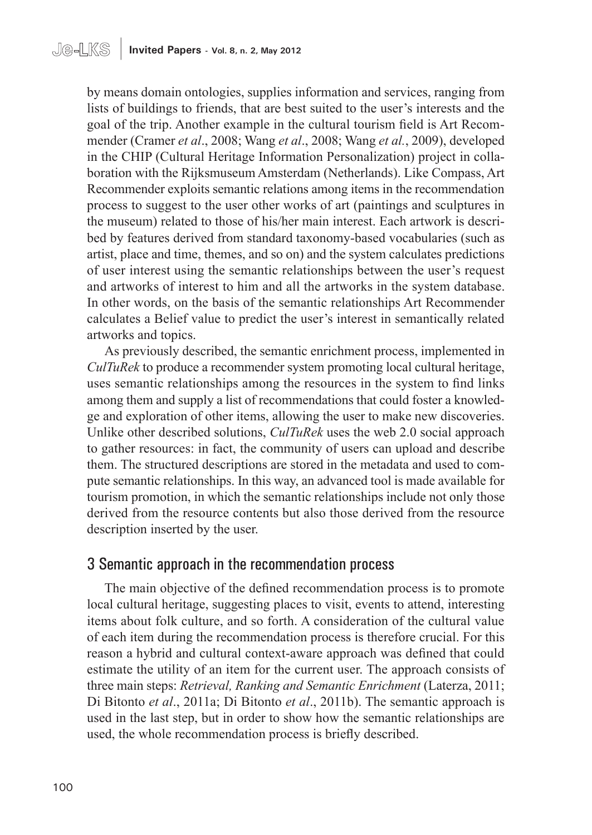by means domain ontologies, supplies information and services, ranging from lists of buildings to friends, that are best suited to the user's interests and the goal of the trip. Another example in the cultural tourism field is Art Recommender (Cramer *et al*., 2008; Wang *et al*., 2008; Wang *et al.*, 2009), developed in the CHIP (Cultural Heritage Information Personalization) project in collaboration with the Rijksmuseum Amsterdam (Netherlands). Like Compass, Art Recommender exploits semantic relations among items in the recommendation process to suggest to the user other works of art (paintings and sculptures in the museum) related to those of his/her main interest. Each artwork is described by features derived from standard taxonomy-based vocabularies (such as artist, place and time, themes, and so on) and the system calculates predictions of user interest using the semantic relationships between the user's request and artworks of interest to him and all the artworks in the system database. In other words, on the basis of the semantic relationships Art Recommender calculates a Belief value to predict the user's interest in semantically related artworks and topics.

As previously described, the semantic enrichment process, implemented in *CulTuRek* to produce a recommender system promoting local cultural heritage, uses semantic relationships among the resources in the system to find links among them and supply a list of recommendations that could foster a knowledge and exploration of other items, allowing the user to make new discoveries. Unlike other described solutions, *CulTuRek* uses the web 2.0 social approach to gather resources: in fact, the community of users can upload and describe them. The structured descriptions are stored in the metadata and used to compute semantic relationships. In this way, an advanced tool is made available for tourism promotion, in which the semantic relationships include not only those derived from the resource contents but also those derived from the resource description inserted by the user.

#### 3 Semantic approach in the recommendation process

The main objective of the defined recommendation process is to promote local cultural heritage, suggesting places to visit, events to attend, interesting items about folk culture, and so forth. A consideration of the cultural value of each item during the recommendation process is therefore crucial. For this reason a hybrid and cultural context-aware approach was defined that could estimate the utility of an item for the current user. The approach consists of three main steps: *Retrieval, Ranking and Semantic Enrichment* (Laterza, 2011; Di Bitonto *et al*., 2011a; Di Bitonto *et al*., 2011b). The semantic approach is used in the last step, but in order to show how the semantic relationships are used, the whole recommendation process is briefly described.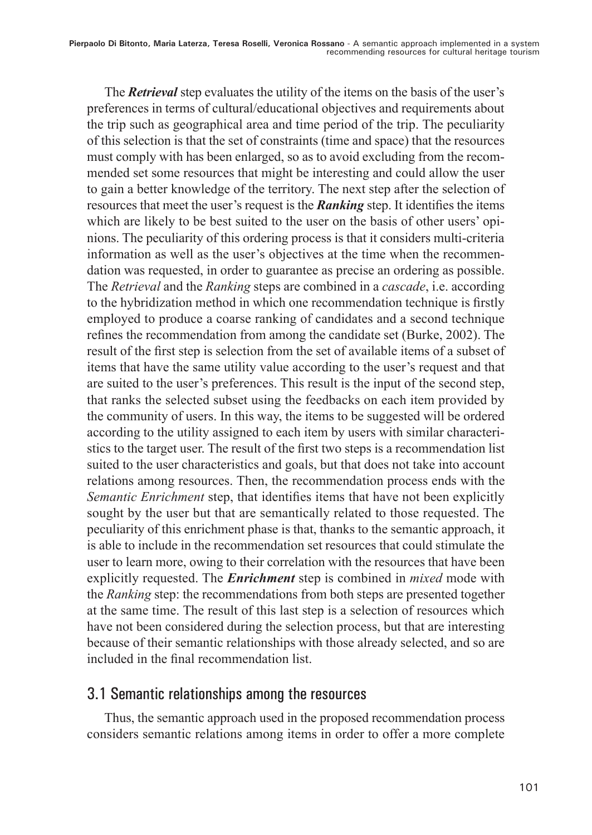The *Retrieval* step evaluates the utility of the items on the basis of the user's preferences in terms of cultural/educational objectives and requirements about the trip such as geographical area and time period of the trip. The peculiarity of this selection is that the set of constraints (time and space) that the resources must comply with has been enlarged, so as to avoid excluding from the recommended set some resources that might be interesting and could allow the user to gain a better knowledge of the territory. The next step after the selection of resources that meet the user's request is the *Ranking* step. It identifies the items which are likely to be best suited to the user on the basis of other users' opinions. The peculiarity of this ordering process is that it considers multi-criteria information as well as the user's objectives at the time when the recommendation was requested, in order to guarantee as precise an ordering as possible. The *Retrieval* and the *Ranking* steps are combined in a *cascade*, i.e. according to the hybridization method in which one recommendation technique is firstly employed to produce a coarse ranking of candidates and a second technique refines the recommendation from among the candidate set (Burke, 2002). The result of the first step is selection from the set of available items of a subset of items that have the same utility value according to the user's request and that are suited to the user's preferences. This result is the input of the second step, that ranks the selected subset using the feedbacks on each item provided by the community of users. In this way, the items to be suggested will be ordered according to the utility assigned to each item by users with similar characteristics to the target user. The result of the first two steps is a recommendation list suited to the user characteristics and goals, but that does not take into account relations among resources. Then, the recommendation process ends with the *Semantic Enrichment* step, that identifies items that have not been explicitly sought by the user but that are semantically related to those requested. The peculiarity of this enrichment phase is that, thanks to the semantic approach, it is able to include in the recommendation set resources that could stimulate the user to learn more, owing to their correlation with the resources that have been explicitly requested. The *Enrichment* step is combined in *mixed* mode with the *Ranking* step: the recommendations from both steps are presented together at the same time. The result of this last step is a selection of resources which have not been considered during the selection process, but that are interesting because of their semantic relationships with those already selected, and so are included in the final recommendation list.

#### 3.1 Semantic relationships among the resources

Thus, the semantic approach used in the proposed recommendation process considers semantic relations among items in order to offer a more complete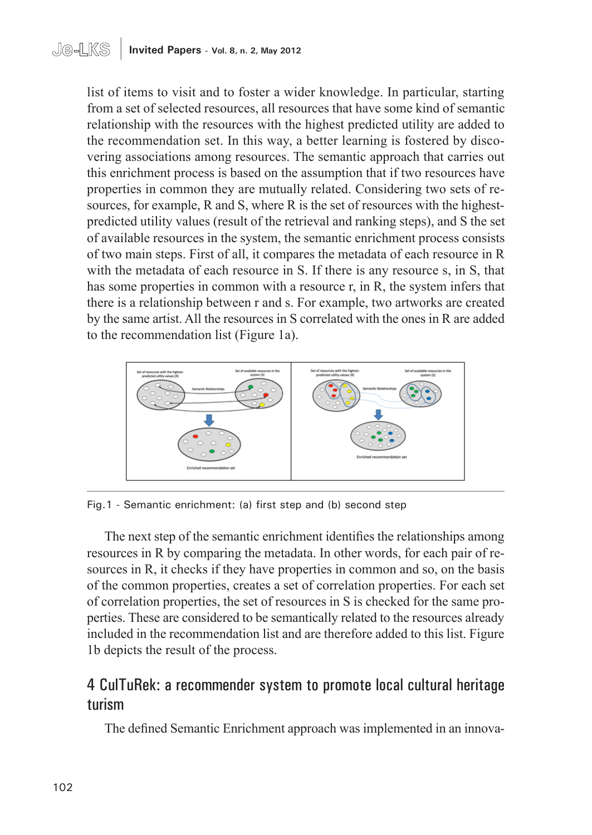list of items to visit and to foster a wider knowledge. In particular, starting from a set of selected resources, all resources that have some kind of semantic relationship with the resources with the highest predicted utility are added to the recommendation set. In this way, a better learning is fostered by discovering associations among resources. The semantic approach that carries out this enrichment process is based on the assumption that if two resources have properties in common they are mutually related. Considering two sets of resources, for example, R and S, where R is the set of resources with the highestpredicted utility values (result of the retrieval and ranking steps), and S the set of available resources in the system, the semantic enrichment process consists of two main steps. First of all, it compares the metadata of each resource in R with the metadata of each resource in S. If there is any resource s, in S, that has some properties in common with a resource r, in R, the system infers that there is a relationship between r and s. For example, two artworks are created by the same artist. All the resources in S correlated with the ones in R are added to the recommendation list (Figure 1a).



Fig.1 - Semantic enrichment: (a) first step and (b) second step

The next step of the semantic enrichment identifies the relationships among resources in R by comparing the metadata. In other words, for each pair of resources in R, it checks if they have properties in common and so, on the basis of the common properties, creates a set of correlation properties. For each set of correlation properties, the set of resources in S is checked for the same properties. These are considered to be semantically related to the resources already included in the recommendation list and are therefore added to this list. Figure 1b depicts the result of the process.

# 4 CulTuRek: a recommender system to promote local cultural heritage turism

The defined Semantic Enrichment approach was implemented in an innova-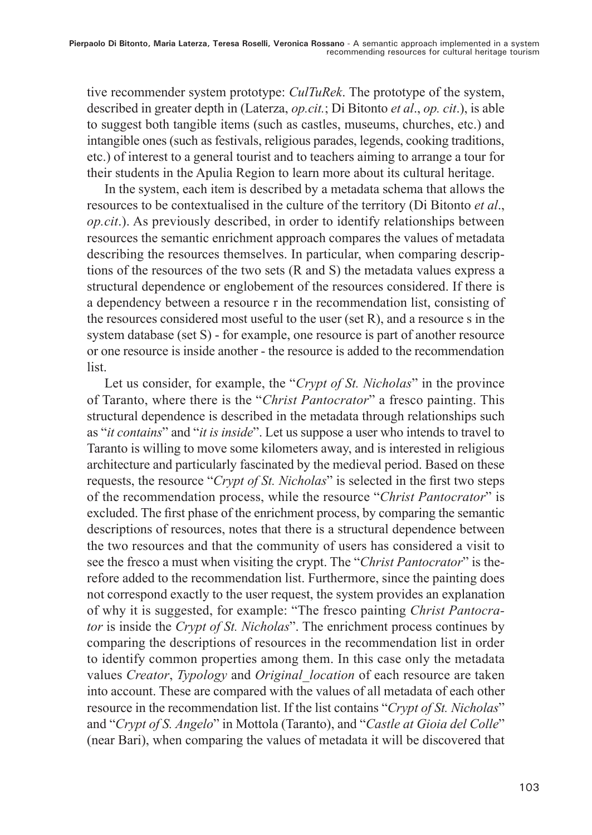tive recommender system prototype: *CulTuRek*. The prototype of the system, described in greater depth in (Laterza, *op.cit.*; Di Bitonto *et al*., *op. cit*.), is able to suggest both tangible items (such as castles, museums, churches, etc.) and intangible ones (such as festivals, religious parades, legends, cooking traditions, etc.) of interest to a general tourist and to teachers aiming to arrange a tour for their students in the Apulia Region to learn more about its cultural heritage.

In the system, each item is described by a metadata schema that allows the resources to be contextualised in the culture of the territory (Di Bitonto *et al*., *op.cit*.). As previously described, in order to identify relationships between resources the semantic enrichment approach compares the values of metadata describing the resources themselves. In particular, when comparing descriptions of the resources of the two sets (R and S) the metadata values express a structural dependence or englobement of the resources considered. If there is a dependency between a resource r in the recommendation list, consisting of the resources considered most useful to the user (set R), and a resource s in the system database (set S) - for example, one resource is part of another resource or one resource is inside another - the resource is added to the recommendation list.

Let us consider, for example, the "*Crypt of St. Nicholas*" in the province of Taranto, where there is the "*Christ Pantocrator*" a fresco painting. This structural dependence is described in the metadata through relationships such as "*it contains*" and "*it is inside*". Let us suppose a user who intends to travel to Taranto is willing to move some kilometers away, and is interested in religious architecture and particularly fascinated by the medieval period. Based on these requests, the resource "*Crypt of St. Nicholas*" is selected in the first two steps of the recommendation process, while the resource "*Christ Pantocrator*" is excluded. The first phase of the enrichment process, by comparing the semantic descriptions of resources, notes that there is a structural dependence between the two resources and that the community of users has considered a visit to see the fresco a must when visiting the crypt. The "*Christ Pantocrator*" is therefore added to the recommendation list. Furthermore, since the painting does not correspond exactly to the user request, the system provides an explanation of why it is suggested, for example: "The fresco painting *Christ Pantocrator* is inside the *Crypt of St. Nicholas*". The enrichment process continues by comparing the descriptions of resources in the recommendation list in order to identify common properties among them. In this case only the metadata values *Creator*, *Typology* and *Original\_location* of each resource are taken into account. These are compared with the values of all metadata of each other resource in the recommendation list. If the list contains "*Crypt of St. Nicholas*" and "*Crypt of S. Angelo*" in Mottola (Taranto), and "*Castle at Gioia del Colle*" (near Bari), when comparing the values of metadata it will be discovered that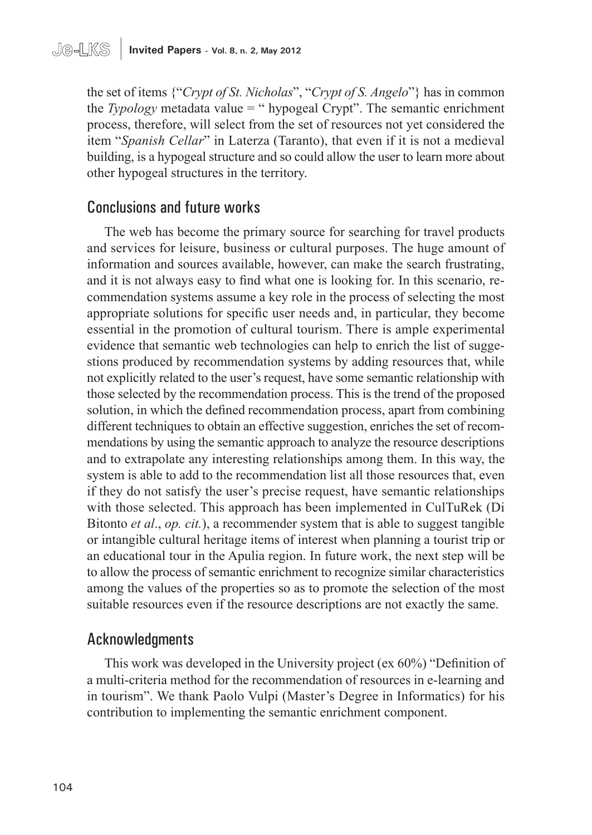the set of items {"*Crypt of St. Nicholas*", "*Crypt of S. Angelo*"} has in common the *Typology* metadata value = " hypogeal Crypt". The semantic enrichment process, therefore, will select from the set of resources not yet considered the item "*Spanish Cellar*" in Laterza (Taranto), that even if it is not a medieval building, is a hypogeal structure and so could allow the user to learn more about other hypogeal structures in the territory.

### Conclusions and future works

The web has become the primary source for searching for travel products and services for leisure, business or cultural purposes. The huge amount of information and sources available, however, can make the search frustrating, and it is not always easy to find what one is looking for. In this scenario, recommendation systems assume a key role in the process of selecting the most appropriate solutions for specific user needs and, in particular, they become essential in the promotion of cultural tourism. There is ample experimental evidence that semantic web technologies can help to enrich the list of suggestions produced by recommendation systems by adding resources that, while not explicitly related to the user's request, have some semantic relationship with those selected by the recommendation process. This is the trend of the proposed solution, in which the defined recommendation process, apart from combining different techniques to obtain an effective suggestion, enriches the set of recommendations by using the semantic approach to analyze the resource descriptions and to extrapolate any interesting relationships among them. In this way, the system is able to add to the recommendation list all those resources that, even if they do not satisfy the user's precise request, have semantic relationships with those selected. This approach has been implemented in CulTuRek (Di Bitonto *et al*., *op. cit.*), a recommender system that is able to suggest tangible or intangible cultural heritage items of interest when planning a tourist trip or an educational tour in the Apulia region. In future work, the next step will be to allow the process of semantic enrichment to recognize similar characteristics among the values of the properties so as to promote the selection of the most suitable resources even if the resource descriptions are not exactly the same.

#### Acknowledgments

This work was developed in the University project (ex 60%) "Definition of a multi-criteria method for the recommendation of resources in e-learning and in tourism". We thank Paolo Vulpi (Master's Degree in Informatics) for his contribution to implementing the semantic enrichment component.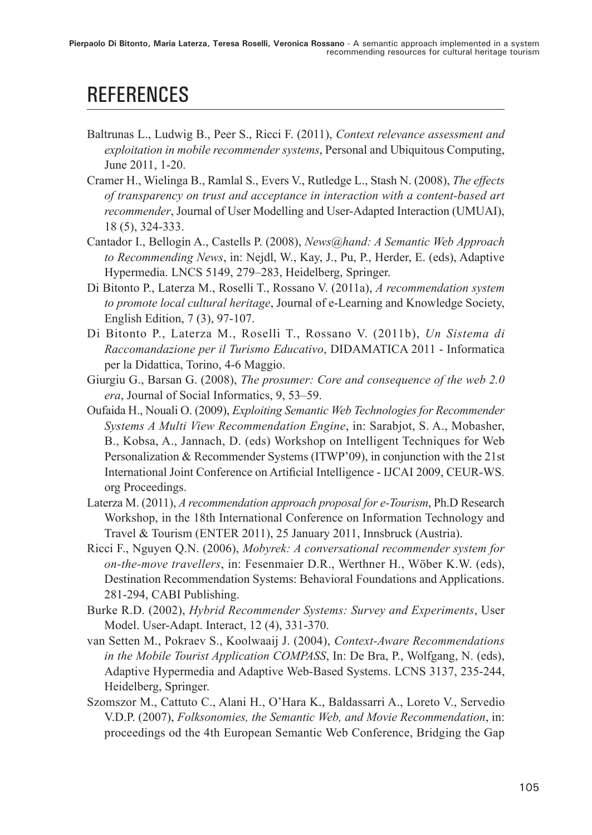# **REFERENCES**

- Baltrunas L., Ludwig B., Peer S., Ricci F. (2011), *Context relevance assessment and exploitation in mobile recommender systems*, Personal and Ubiquitous Computing, June 2011, 1-20.
- Cramer H., Wielinga B., Ramlal S., Evers V., Rutledge L., Stash N. (2008), *The effects of transparency on trust and acceptance in interaction with a content-based art recommender*, Journal of User Modelling and User-Adapted Interaction (UMUAI), 18 (5), 324-333.
- Cantador I., Bellogín A., Castells P. (2008), *News@hand: A Semantic Web Approach to Recommending News*, in: Nejdl, W., Kay, J., Pu, P., Herder, E. (eds), Adaptive Hypermedia. LNCS 5149, 279–283, Heidelberg, Springer.
- Di Bitonto P., Laterza M., Roselli T., Rossano V. (2011a), *A recommendation system to promote local cultural heritage*, Journal of e-Learning and Knowledge Society, English Edition, 7 (3), 97-107.
- Di Bitonto P., Laterza M., Roselli T., Rossano V. (2011b), *Un Sistema di Raccomandazione per il Turismo Educativo*, DIDAMATICA 2011 - Informatica per la Didattica, Torino, 4-6 Maggio.
- Giurgiu G., Barsan G. (2008), *The prosumer: Core and consequence of the web 2.0 era*, Journal of Social Informatics, 9, 53–59.
- Oufaida H., Nouali O. (2009), *Exploiting Semantic Web Technologies for Recommender Systems A Multi View Recommendation Engine*, in: Sarabjot, S. A., Mobasher, B., Kobsa, A., Jannach, D. (eds) Workshop on Intelligent Techniques for Web Personalization & Recommender Systems (ITWP'09), in conjunction with the 21st International Joint Conference on Artificial Intelligence - IJCAI 2009, CEUR-WS. org Proceedings.
- Laterza M. (2011), *A recommendation approach proposal for e-Tourism*, Ph.D Research Workshop, in the 18th International Conference on Information Technology and Travel & Tourism (ENTER 2011), 25 January 2011, Innsbruck (Austria).
- Ricci F., Nguyen Q.N. (2006), *Mobyrek: A conversational recommender system for on-the-move travellers*, in: Fesenmaier D.R., Werthner H., Wöber K.W. (eds), Destination Recommendation Systems: Behavioral Foundations and Applications. 281-294, CABI Publishing.
- Burke R.D. (2002), *Hybrid Recommender Systems: Survey and Experiments*, User Model. User-Adapt. Interact, 12 (4), 331-370.
- van Setten M., Pokraev S., Koolwaaij J. (2004), *Context-Aware Recommendations in the Mobile Tourist Application COMPASS*, In: De Bra, P., Wolfgang, N. (eds), Adaptive Hypermedia and Adaptive Web-Based Systems. LCNS 3137, 235-244, Heidelberg, Springer.
- Szomszor M., Cattuto C., Alani H., O'Hara K., Baldassarri A., Loreto V., Servedio V.D.P. (2007), *Folksonomies, the Semantic Web, and Movie Recommendation*, in: proceedings od the 4th European Semantic Web Conference, Bridging the Gap